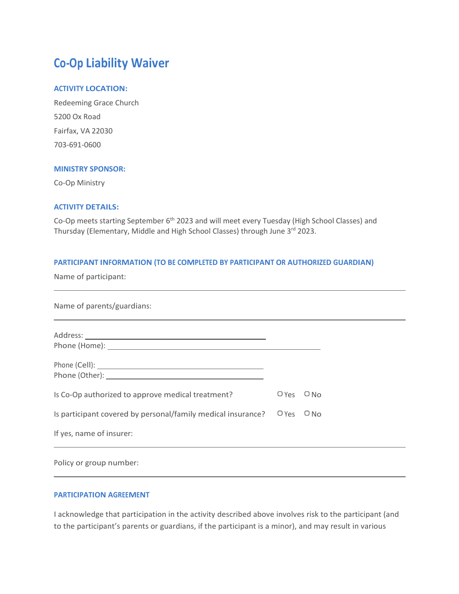# **Co-Op Liability Waiver**

### **ACTIVITY LOCATION:**

Redeeming Grace Church 5200 Ox Road Fairfax, VA 22030 703-691-0600

# **MINISTRY SPONSOR:**

Co-Op Ministry

#### **ACTIVITY DETAILS:**

Co-Op meets starting September 6<sup>th</sup> 2023 and will meet every Tuesday (High School Classes) and Thursday (Elementary, Middle and High School Classes) through June 3rd 2023.

# **PARTICIPANT INFORMATION (TO BE COMPLETED BY PARTICIPANT OR AUTHORIZED GUARDIAN)**

Name of participant:

 $\overline{a}$ 

 $\overline{a}$ 

| Name of parents/guardians:                                                        |         |        |
|-----------------------------------------------------------------------------------|---------|--------|
|                                                                                   |         |        |
|                                                                                   |         |        |
| Is Co-Op authorized to approve medical treatment?                                 | $O$ Yes | $O$ No |
| Is participant covered by personal/family medical insurance? $\Box$ Yes $\Box$ No |         |        |
| If yes, name of insurer:                                                          |         |        |
|                                                                                   |         |        |

Policy or group number:

## **PARTICIPATION AGREEMENT**

I acknowledge that participation in the activity described above involves risk to the participant (and to the participant's parents or guardians, if the participant is a minor), and may result in various